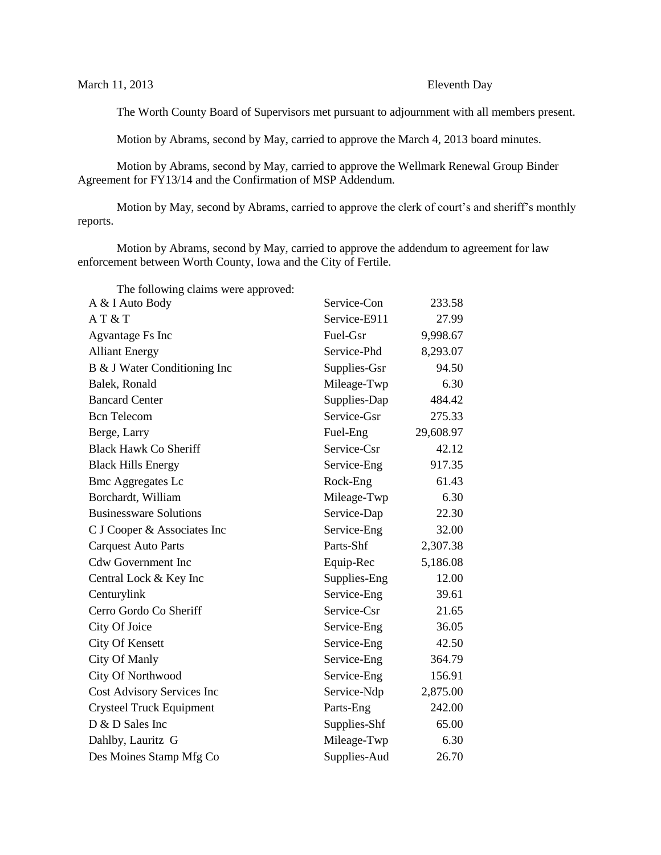The Worth County Board of Supervisors met pursuant to adjournment with all members present.

Motion by Abrams, second by May, carried to approve the March 4, 2013 board minutes.

Motion by Abrams, second by May, carried to approve the Wellmark Renewal Group Binder Agreement for FY13/14 and the Confirmation of MSP Addendum.

Motion by May, second by Abrams, carried to approve the clerk of court's and sheriff's monthly reports.

Motion by Abrams, second by May, carried to approve the addendum to agreement for law enforcement between Worth County, Iowa and the City of Fertile.

The following claims were approved.

| The Tonowing elanns were approved. |              |           |
|------------------------------------|--------------|-----------|
| A & I Auto Body                    | Service-Con  | 233.58    |
| AT&T                               | Service-E911 | 27.99     |
| Agvantage Fs Inc                   | Fuel-Gsr     | 9,998.67  |
| <b>Alliant Energy</b>              | Service-Phd  | 8,293.07  |
| B & J Water Conditioning Inc       | Supplies-Gsr | 94.50     |
| Balek, Ronald                      | Mileage-Twp  | 6.30      |
| <b>Bancard Center</b>              | Supplies-Dap | 484.42    |
| <b>Bcn</b> Telecom                 | Service-Gsr  | 275.33    |
| Berge, Larry                       | Fuel-Eng     | 29,608.97 |
| <b>Black Hawk Co Sheriff</b>       | Service-Csr  | 42.12     |
| <b>Black Hills Energy</b>          | Service-Eng  | 917.35    |
| <b>Bmc Aggregates Lc</b>           | Rock-Eng     | 61.43     |
| Borchardt, William                 | Mileage-Twp  | 6.30      |
| <b>Businessware Solutions</b>      | Service-Dap  | 22.30     |
| C J Cooper & Associates Inc        | Service-Eng  | 32.00     |
| <b>Carquest Auto Parts</b>         | Parts-Shf    | 2,307.38  |
| <b>Cdw Government Inc</b>          | Equip-Rec    | 5,186.08  |
| Central Lock & Key Inc             | Supplies-Eng | 12.00     |
| Centurylink                        | Service-Eng  | 39.61     |
| Cerro Gordo Co Sheriff             | Service-Csr  | 21.65     |
| City Of Joice                      | Service-Eng  | 36.05     |
| <b>City Of Kensett</b>             | Service-Eng  | 42.50     |
| City Of Manly                      | Service-Eng  | 364.79    |
| City Of Northwood                  | Service-Eng  | 156.91    |
| Cost Advisory Services Inc         | Service-Ndp  | 2,875.00  |
| <b>Crysteel Truck Equipment</b>    | Parts-Eng    | 242.00    |
| D & D Sales Inc                    | Supplies-Shf | 65.00     |
| Dahlby, Lauritz G                  | Mileage-Twp  | 6.30      |
| Des Moines Stamp Mfg Co            | Supplies-Aud | 26.70     |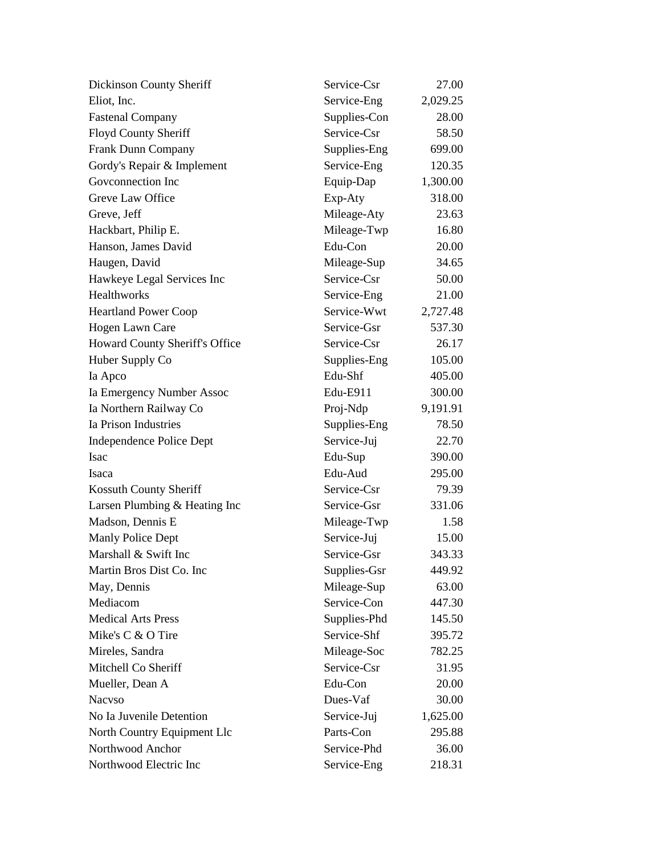| Dickinson County Sheriff       | Service-Csr  | 27.00    |
|--------------------------------|--------------|----------|
| Eliot, Inc.                    | Service-Eng  | 2,029.25 |
| <b>Fastenal Company</b>        | Supplies-Con | 28.00    |
| Floyd County Sheriff           | Service-Csr  | 58.50    |
| <b>Frank Dunn Company</b>      | Supplies-Eng | 699.00   |
| Gordy's Repair & Implement     | Service-Eng  | 120.35   |
| Goveonnection Inc              | Equip-Dap    | 1,300.00 |
| Greve Law Office               | Exp-Aty      | 318.00   |
| Greve, Jeff                    | Mileage-Aty  | 23.63    |
| Hackbart, Philip E.            | Mileage-Twp  | 16.80    |
| Hanson, James David            | Edu-Con      | 20.00    |
| Haugen, David                  | Mileage-Sup  | 34.65    |
| Hawkeye Legal Services Inc     | Service-Csr  | 50.00    |
| Healthworks                    | Service-Eng  | 21.00    |
| <b>Heartland Power Coop</b>    | Service-Wwt  | 2,727.48 |
| Hogen Lawn Care                | Service-Gsr  | 537.30   |
| Howard County Sheriff's Office | Service-Csr  | 26.17    |
| Huber Supply Co                | Supplies-Eng | 105.00   |
| Ia Apco                        | Edu-Shf      | 405.00   |
| Ia Emergency Number Assoc      | Edu-E911     | 300.00   |
| Ia Northern Railway Co         | Proj-Ndp     | 9,191.91 |
| Ia Prison Industries           | Supplies-Eng | 78.50    |
| Independence Police Dept       | Service-Juj  | 22.70    |
| Isac                           | Edu-Sup      | 390.00   |
| Isaca                          | Edu-Aud      | 295.00   |
| Kossuth County Sheriff         | Service-Csr  | 79.39    |
| Larsen Plumbing & Heating Inc  | Service-Gsr  | 331.06   |
| Madson, Dennis E               | Mileage-Twp  | 1.58     |
| Manly Police Dept              | Service-Juj  | 15.00    |
| Marshall & Swift Inc           | Service-Gsr  | 343.33   |
| Martin Bros Dist Co. Inc       | Supplies-Gsr | 449.92   |
| May, Dennis                    | Mileage-Sup  | 63.00    |
| Mediacom                       | Service-Con  | 447.30   |
| <b>Medical Arts Press</b>      | Supplies-Phd | 145.50   |
| Mike's C & O Tire              | Service-Shf  | 395.72   |
| Mireles, Sandra                | Mileage-Soc  | 782.25   |
| Mitchell Co Sheriff            | Service-Csr  | 31.95    |
| Mueller, Dean A                | Edu-Con      | 20.00    |
| <b>Nacyso</b>                  | Dues-Vaf     | 30.00    |
| No Ia Juvenile Detention       | Service-Juj  | 1,625.00 |
| North Country Equipment Llc    | Parts-Con    | 295.88   |
| Northwood Anchor               | Service-Phd  | 36.00    |
| Northwood Electric Inc         | Service-Eng  | 218.31   |
|                                |              |          |